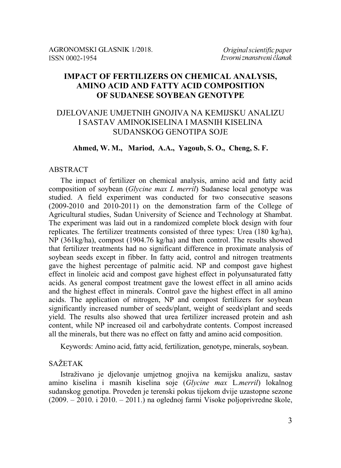# **IMPACT OF FERTILIZERS ON CHEMICAL ANALYSIS, AMINO ACID AND FATTY ACID COMPOSITION OF SUDANESE SOYBEAN GENOTYPE**

# DJELOVANJE UMJETNIH GNOJIVA NA KEMIJSKU ANALIZU I SASTAV AMINOKISELINA I MASNIH KISELINA SUDANSKOG GENOTIPA SOJE

## **Ahmed, W. M., Mariod, A.A., Yagoub, S. O., Cheng, S. F.**

#### ABSTRACT

The impact of fertilizer on chemical analysis, amino acid and fatty acid composition of soybean (*Glycine max L merril*) Sudanese local genotype was studied. A field experiment was conducted for two consecutive seasons (2009-2010 and 2010-2011) on the demonstration farm of the College of Agricultural studies, Sudan University of Science and Technology at Shambat. The experiment was laid out in a randomized complete block design with four replicates. The fertilizer treatments consisted of three types: Urea (180 kg/ha), NP (361kg/ha), compost (1904.76 kg/ha) and then control. The results showed that fertilizer treatments had no significant difference in proximate analysis of soybean seeds except in fibber. In fatty acid, control and nitrogen treatments gave the highest percentage of palmitic acid. NP and compost gave highest effect in linoleic acid and compost gave highest effect in polyunsaturated fatty acids. As general compost treatment gave the lowest effect in all amino acids and the highest effect in minerals. Control gave the highest effect in all amino acids. The application of nitrogen, NP and compost fertilizers for soybean significantly increased number of seeds/plant, weight of seeds\plant and seeds yield. The results also showed that urea fertilizer increased protein and ash content, while NP increased oil and carbohydrate contents. Compost increased all the minerals, but there was no effect on fatty and amino acid composition.

Keywords: Amino acid, fatty acid, fertilization, genotype, minerals, soybean.

### SAŽETAK

Istraživano je djelovanje umjetnog gnojiva na kemijsku analizu, sastav amino kiselina i masnih kiselina soje (*Glycine max* L.*merril*) lokalnog sudanskog genotipa. Proveden je terenski pokus tijekom dvije uzastopne sezone (2009. – 2010. i 2010. – 2011.) na oglednoj farmi Visoke poljoprivredne škole,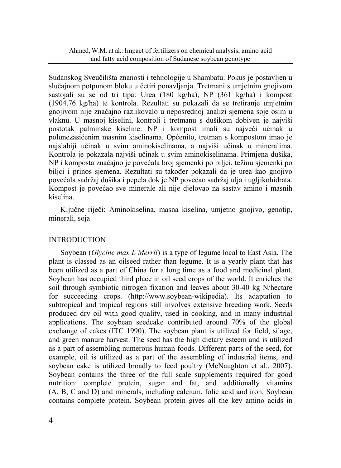Sudanskog Sveučilišta znanosti i tehnologije u Shambatu. Pokus je postavljen u slučajnom potpunom bloku u četiri ponavljanja. Tretmani s umjetnim gnojivom sastojali su se od tri tipa: Urea (180 kg/ha), NP (361 kg/ha) i kompost (1904,76 kg/ha) te kontrola. Rezultati su pokazali da se tretiranje umjetnim gnojivom nije značajno razlikovalo u neposrednoj analizi sjemena soje osim u vlaknu. U masnoj kiselini, kontroli i tretmanu s dušikom dobiven je najviši postotak palminske kiseline. NP i kompost imali su najveći učinak u polunezasićenim masnim kiselinama. Općenito, tretman s kompostom imao je najslabiji učinak u svim aminokiselinama, a najviši učinak u mineralima. Kontrola je pokazala najviši učinak u svim aminokiselinama. Primjena dušika, NP i komposta značajno je povećala broj sjemenki po biljci, težinu sjemenki po biljci i prinos sjemena. Rezultati su također pokazali da je urea kao gnojivo povećala sadržaj dušika i pepela dok je NP povećao sadržaj ulja i ugljikohidrata. Kompost je povećao sve minerale ali nije djelovao na sastav amino i masnih kiselina.

Ključne riječi: Aminokiselina, masna kiselina, umjetno gnojivo, genotip, minerali, soja

# INTRODUCTION

Soybean (*Glycine max L Merril*) is a type of legume local to East Asia. The plant is classed as an oilseed rather than legume. It is a yearly plant that has been utilized as a part of China for a long time as a food and medicinal plant. Soybean has occupied third place in oil seed crops of the world. It enriches the soil through symbiotic nitrogen fixation and leaves about 30-40 kg N/hectare for succeeding crops. (http://www.soybean-wikipedia). Its adaptation to subtropical and tropical regions still involves extensive breeding work. Seeds produced dry oil with good quality, used in cooking, and in many industrial applications. The soybean seedcake contributed around 70% of the global exchange of cakes (ITC 1990). The soybean plant is utilized for field, silage, and green manure harvest. The seed has the high dietary esteem and is utilized as a part of assembling numerous human foods. Different parts of the seed, for example, oil is utilized as a part of the assembling of industrial items, and soybean cake is utilized broadly to feed poultry (McNaughton et al., 2007). Soybean contains the three of the full scale supplements required for good nutrition: complete protein, sugar and fat, and additionally vitamins (A, B, C and D) and minerals, including calcium, folic acid and iron. Soybean contains complete protein. Soybean protein gives all the key amino acids in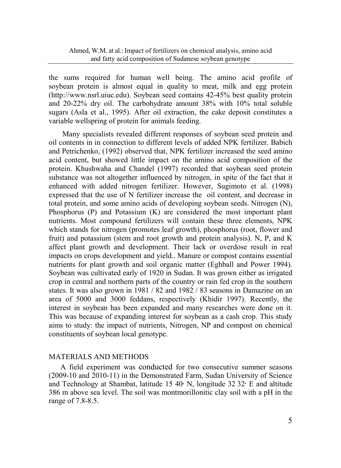the sums required for human well being. The amino acid profile of soybean protein is almost equal in quality to meat, milk and egg protein (http://www.nsrl.uiuc.edu). Soybean seed contains 42-45% best quality protein and 20-22% dry oil. The carbohydrate amount 38% with 10% total soluble sugars (Asla et al., 1995). After oil extraction, the cake deposit constitutes a variable wellspring of protein for animals feeding.

Many specialists revealed different responses of soybean seed protein and oil contents in in connection to different levels of added NPK fertilizer. Babich and Petrichenko, (1992) observed that, NPK fertilizer increased the seed amino acid content, but showed little impact on the amino acid composition of the protein. Khushwaha and Chandel (1997) recorded that soybean seed protein substance was not altogether influenced by nitrogen, in spite of the fact that it enhanced with added nitrogen fertilizer. However, Sugimoto et al. (1998) expressed that the use of N fertilizer increase the oil content, and decrease in total protein, and some amino acids of developing soybean seeds. Nitrogen (N), Phosphorus (P) and Potassium (K) are considered the most important plant nutrients. Most compound fertilizers will contain these three elements, NPK which stands for nitrogen (promotes leaf growth), phosphorus (root, flower and fruit) and potassium (stem and root growth and protein analysis). N, P, and K affect plant growth and development. Their lack or overdose result in real impacts on crops development and yield.. Manure or compost contains essential nutrients for plant growth and soil organic matter (Eghball and Power 1994). Soybean was cultivated early of 1920 in Sudan. It was grown either as irrigated crop in central and northern parts of the country or rain fed crop in the southern states. It was also grown in 1981 / 82 and 1982 / 83 seasons in Damazine on an area of 5000 and 3000 feddans, respectively (Khidir 1997). Recently, the interest in soybean has been expanded and many researches were done on it. This was because of expanding interest for soybean as a cash crop. This study aims to study: the impact of nutrients, Nitrogen, NP and compost on chemical constituents of soybean local genotype.

### MATERIALS AND METHODS

A field experiment was conducted for two consecutive summer seasons (2009-10 and 2010-11) in the Demonstrated Farm, Sudan University of Science and Technology at Shambat, latitude  $15 \, 40<sup>\degree</sup>$  N, longitude  $32 \, 32<sup>\degree</sup>$  E and altitude 386 m above sea level. The soil was montmorillonitic clay soil with a pH in the range of 7.8-8.5.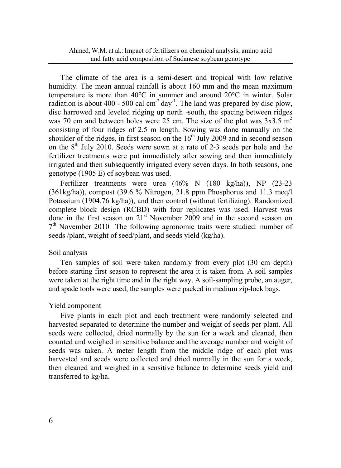The climate of the area is a semi-desert and tropical with low relative humidity. The mean annual rainfall is about 160 mm and the mean maximum temperature is more than 40°C in summer and around 20°C in winter. Solar radiation is about 400 - 500 cal  $\text{cm}^2$  day<sup>-1</sup>. The land was prepared by disc plow, disc harrowed and leveled ridging up north -south, the spacing between ridges was 70 cm and between holes were 25 cm. The size of the plot was  $3x3.5 \text{ m}^2$ consisting of four ridges of 2.5 m length. Sowing was done manually on the shoulder of the ridges, in first season on the  $16<sup>th</sup>$  July 2009 and in second season on the  $8<sup>th</sup>$  July 2010. Seeds were sown at a rate of 2-3 seeds per hole and the fertilizer treatments were put immediately after sowing and then immediately irrigated and then subsequently irrigated every seven days. In both seasons, one genotype (1905 E) of soybean was used.

Fertilizer treatments were urea (46% N (180 kg/ha)), NP (23-23 (361kg/ha)), compost (39.6 % Nitrogen, 21.8 ppm Phosphorus and 11.3 meq/l Potassium (1904.76 kg/ha)), and then control (without fertilizing). Randomized complete block design (RCBD) with four replicates was used. Harvest was done in the first season on 21<sup>st</sup> November 2009 and in the second season on  $7<sup>th</sup>$  November 2010 The following agronomic traits were studied: number of seeds /plant, weight of seed/plant, and seeds yield (kg/ha).

#### Soil analysis

Ten samples of soil were taken randomly from every plot (30 cm depth) before starting first season to represent the area it is taken from. A soil samples were taken at the right time and in the right way. A soil-sampling probe, an auger, and spade tools were used; the samples were packed in medium zip-lock bags.

#### Yield component

Five plants in each plot and each treatment were randomly selected and harvested separated to determine the number and weight of seeds per plant. All seeds were collected, dried normally by the sun for a week and cleaned, then counted and weighed in sensitive balance and the average number and weight of seeds was taken. A meter length from the middle ridge of each plot was harvested and seeds were collected and dried normally in the sun for a week, then cleaned and weighed in a sensitive balance to determine seeds yield and transferred to kg/ha.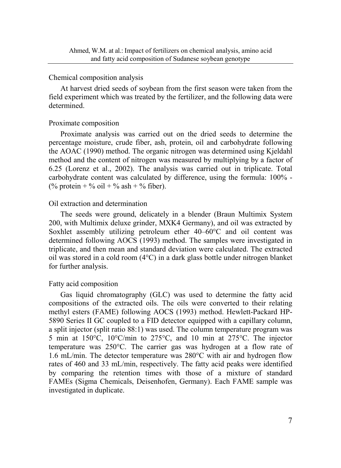#### Chemical composition analysis

At harvest dried seeds of soybean from the first season were taken from the field experiment which was treated by the fertilizer, and the following data were determined.

## Proximate composition

Proximate analysis was carried out on the dried seeds to determine the percentage moisture, crude fiber, ash, protein, oil and carbohydrate following the AOAC (1990) method. The organic nitrogen was determined using Kjeldahl method and the content of nitrogen was measured by multiplying by a factor of 6.25 (Lorenz et al., 2002). The analysis was carried out in triplicate. Total carbohydrate content was calculated by difference, using the formula: 100% - (% protein + % oil + % ash + % fiber).

### Oil extraction and determination

The seeds were ground, delicately in a blender (Braun Multimix System 200, with Multimix deluxe grinder, MXK4 Germany), and oil was extracted by Soxhlet assembly utilizing petroleum ether 40–60°C and oil content was determined following AOCS (1993) method. The samples were investigated in triplicate, and then mean and standard deviation were calculated. The extracted oil was stored in a cold room  $(4^{\circ}C)$  in a dark glass bottle under nitrogen blanket for further analysis.

## Fatty acid composition

Gas liquid chromatography (GLC) was used to determine the fatty acid compositions of the extracted oils. The oils were converted to their relating methyl esters (FAME) following AOCS (1993) method. Hewlett-Packard HP-5890 Series II GC coupled to a FID detector equipped with a capillary column, a split injector (split ratio 88:1) was used. The column temperature program was 5 min at 150°C, 10°C/min to 275°C, and 10 min at 275°C. The injector temperature was 250°C. The carrier gas was hydrogen at a flow rate of 1.6 mL/min. The detector temperature was 280°C with air and hydrogen flow rates of 460 and 33 mL/min, respectively. The fatty acid peaks were identified by comparing the retention times with those of a mixture of standard FAMEs (Sigma Chemicals, Deisenhofen, Germany). Each FAME sample was investigated in duplicate.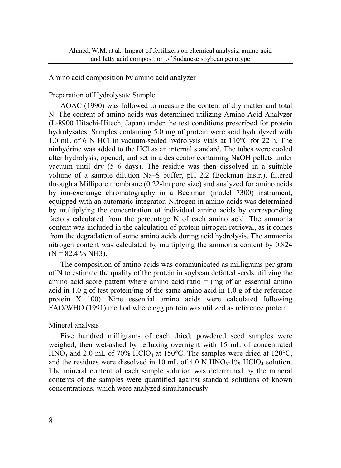### Amino acid composition by amino acid analyzer

## Preparation of Hydrolysate Sample

AOAC (1990) was followed to measure the content of dry matter and total N. The content of amino acids was determined utilizing Amino Acid Analyzer (L-8900 Hitachi-Hitech, Japan) under the test conditions prescribed for protein hydrolysates. Samples containing 5.0 mg of protein were acid hydrolyzed with 1.0 mL of 6 N HCl in vacuum-sealed hydrolysis vials at 110°C for 22 h. The ninhydrine was added to the HCl as an internal standard. The tubes were cooled after hydrolysis, opened, and set in a desiccator containing NaOH pellets under vacuum until dry (5–6 days). The residue was then dissolved in a suitable volume of a sample dilution Na–S buffer, pH 2.2 (Beckman Instr.), filtered through a Millipore membrane (0.22-lm pore size) and analyzed for amino acids by ion-exchange chromatography in a Beckman (model 7300) instrument, equipped with an automatic integrator. Nitrogen in amino acids was determined by multiplying the concentration of individual amino acids by corresponding factors calculated from the percentage N of each amino acid. The ammonia content was included in the calculation of protein nitrogen retrieval, as it comes from the degradation of some amino acids during acid hydrolysis. The ammonia nitrogen content was calculated by multiplying the ammonia content by 0.824  $(N = 82.4 % NH3)$ .

The composition of amino acids was communicated as milligrams per gram of N to estimate the quality of the protein in soybean defatted seeds utilizing the amino acid score pattern where amino acid ratio  $=$  (mg of an essential amino acid in 1.0 g of test protein/mg of the same amino acid in 1.0 g of the reference protein  $X$  100). Nine essential amino acids were calculated following FAO/WHO (1991) method where egg protein was utilized as reference protein.

### Mineral analysis

Five hundred milligrams of each dried, powdered seed samples were weighed, then wet-ashed by refluxing overnight with 15 mL of concentrated HNO<sub>3</sub> and 2.0 mL of 70% HClO<sub>4</sub> at 150°C. The samples were dried at 120°C, and the residues were dissolved in 10 mL of 4.0 N  $\text{HNO}_3$ -1% HClO<sub>4</sub> solution. The mineral content of each sample solution was determined by the mineral contents of the samples were quantified against standard solutions of known concentrations, which were analyzed simultaneously.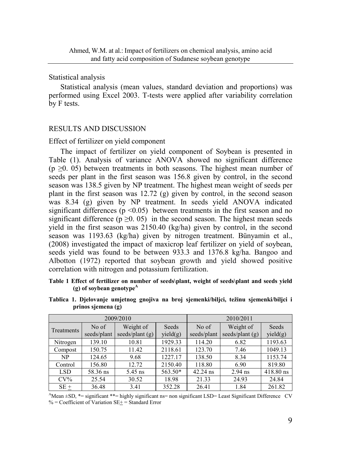#### Statistical analysis

Statistical analysis (mean values, standard deviation and proportions) was performed using Excel 2003. T-tests were applied after variability correlation by F tests.

#### RESULTS AND DISCUSSION

#### Effect of fertilizer on yield component

The impact of fertilizer on yield component of Soybean is presented in Table (1). Analysis of variance ANOVA showed no significant difference  $(p \ge 0.05)$  between treatments in both seasons. The highest mean number of seeds per plant in the first season was 156.8 given by control, in the second season was 138.5 given by NP treatment. The highest mean weight of seeds per plant in the first season was 12.72 (g) given by control, in the second season was 8.34 (g) given by NP treatment. In seeds yield ANOVA indicated significant differences ( $p \le 0.05$ ) between treatments in the first season and no significant difference ( $p \ge 0$ . 05) in the second season. The highest mean seeds yield in the first season was 2150.40 (kg/ha) given by control, in the second season was 1193.63 (kg/ha) given by nitrogen treatment. Bünyamin et al., (2008) investigated the impact of maxicrop leaf fertilizer on yield of soybean, seeds yield was found to be between 933.3 and 1376.8 kg/ha. Bangoo and Albotton (1972) reported that soybean growth and yield showed positive correlation with nitrogen and potassium fertilization.

#### **Table 1 Effect of fertilizer on number of seeds\plant, weight of seeds\plant and seeds yield (g) of soybean genotypeA**

|            |                                                        | 2009/2010 | 2010/2011         |                      |                                |                   |  |
|------------|--------------------------------------------------------|-----------|-------------------|----------------------|--------------------------------|-------------------|--|
| Treatments | Weight of<br>No of<br>seeds/plant $(g)$<br>seeds/plant |           | Seeds<br>yield(g) | No of<br>seeds/plant | Weight of<br>seeds/plant $(g)$ | Seeds<br>yield(g) |  |
| Nitrogen   | 139.10                                                 | 10.81     | 1929.33           | 114.20               | 6.82                           | 1193.63           |  |
| Compost    | 150.75                                                 | 11.42     | 2118.61           | 123.70               | 7.46                           | 1049.13           |  |
| NP         | 124.65                                                 | 9.68      | 1227.17           | 138.50               | 8.34                           | 1153.74           |  |
| Control    | 156.80                                                 | 12.72     | 2150.40           | 118.80               | 6.90                           | 819.80            |  |
| <b>LSD</b> | 58.36 ns                                               | 5.45 ns   | 563.50*           | 42.24 ns             | $2.94$ ns                      | 418.80 ns         |  |
| $CV\%$     | 25.54                                                  | 30.52     | 18.98             | 21.33                | 24.93                          | 24.84             |  |
| $SE+$      | 36.48                                                  | 3.41      | 352.28            | 26.41                | 1.84                           | 261.82            |  |

**Tablica 1. Djelovanje umjetnog gnojiva na broj sjemenki/biljci, težinu sjemenki/biljci i prinos sjemena (g)** 

 $^{\text{A}}$ Mean  $\pm$ SD,  $^{\text{*}}$  = significant \*\*= highly significant ns= non significant LSD= Least Significant Difference CV  $%$  = Coefficient of Variation SE+ = Standard Error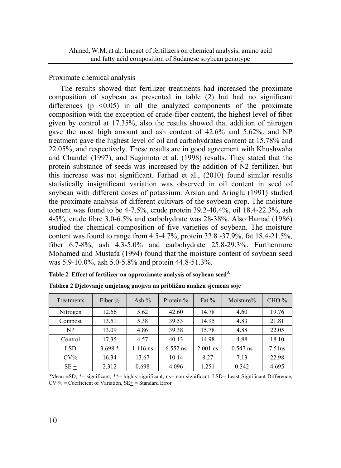Proximate chemical analysis

The results showed that fertilizer treatments had increased the proximate composition of soybean as presented in table (2) but had no significant differences ( $p \leq 0.05$ ) in all the analyzed components of the proximate composition with the exception of crude-fiber content, the highest level of fiber given by control at 17.35%, also the results showed that addition of nitrogen gave the most high amount and ash content of 42.6% and 5.62%, and NP treatment gave the highest level of oil and carbohydrates content at 15.78% and 22.05%, and respectively. These results are in good agreement with Khushwaha and Chandel (1997), and Sugimoto et al. (1998) results. They stated that the protein substance of seeds was increased by the addition of N2 fertilizer, but this increase was not significant. Farhad et al., (2010) found similar results statistically insignificant variation was observed in oil content in seed of soybean with different doses of potassium. Arslan and Arioglu (1991) studied the proximate analysis of different cultivars of the soybean crop. The moisture content was found to be  $4-7.5\%$ , crude protein  $39.2-40.4\%$ , oil  $18.4-22.3\%$ , ash 4-5%, crude fibre 3.0-6.5% and carbohydrate was 28-38%. Also Hamad (1986) studied the chemical composition of five varieties of soybean. The moisture content was found to range from  $4.5 - 4.7\%$ , protein  $32.8 - 37.9\%$ , fat  $18.4 - 21.5\%$ , fiber 6.7-8%, ash 4.3-5.0% and carbohydrate 25.8-29.3%. Furthermore Mohamed and Mustafa (1994) found that the moisture content of soybean seed was 5.9-10.0%, ash 5.0-5.8% and protein 44.8-51.3%.

|  | Table 2 Effect of fertilizer on approximate analysis of soybean seed <sup>A</sup> |  |  |  |  |
|--|-----------------------------------------------------------------------------------|--|--|--|--|
|--|-----------------------------------------------------------------------------------|--|--|--|--|

| Treatments | Fiber $%$ | Ash $%$  | Protein %  | Fat $%$    | Moisture%  | CHO%      |
|------------|-----------|----------|------------|------------|------------|-----------|
| Nitrogen   | 12.66     | 5.62     | 42.60      | 14.78      | 4.60       | 19.76     |
| Compost    | 13.51     | 5.38     | 39.53      | 14.95      | 4.83       | 21.81     |
| NP         | 13.09     | 4.86     | 39.38      | 15.78      | 4.88       | 22.05     |
| Control    | 17.35     | 4.57     | 40.13      | 14.98      | 4.88       | 18.10     |
| <b>LSD</b> | $3.698*$  | 1.116 ns | $6.552$ ns | $2.001$ ns | $0.547$ ns | $7.51$ ns |
| $CV\%$     | 16.34     | 13.67    | 10.14      | 8.27       | 7.13       | 22.98     |
| $SE +$     | 2.312     | 0.698    | 4.096      | 1.251      | 0.342      | 4.695     |

**Tablica 2 Djelovanje umjetnog gnojiva na približnu analizu sjemena soje** 

**<sup>A</sup>**Mean ±SD, \*= significant, \*\*= highly significant, ns= non significant, LSD= Least Significant Difference,  $CV % = Coefficient of Variation, SE+= Standard Error$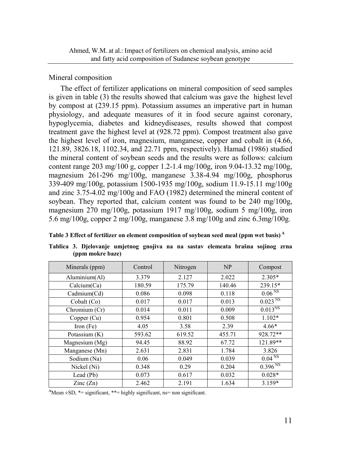## Mineral composition

The effect of fertilizer applications on mineral composition of seed samples is given in table (3) the results showed that calcium was gave the highest level by compost at (239.15 ppm). Potassium assumes an imperative part in human physiology, and adequate measures of it in food secure against coronary, hypoglycemia, diabetes and kidneydiseases, results showed that compost treatment gave the highest level at (928.72 ppm). Compost treatment also gave the highest level of iron, magnesium, manganese, copper and cobalt in (4.66, 121.89, 3826.18, 1102.34, and 22.71 ppm, respectively). Hamad (1986) studied the mineral content of soybean seeds and the results were as follows: calcium content range 203 mg/100 g, copper 1.2-1.4 mg/100g, iron 9.04-13.32 mg/100g, magnesium 261-296 mg/100g, manganese 3.38-4.94 mg/100g, phosphorus 339-409 mg/100g, potassium 1500-1935 mg/100g, sodium 11.9-15.11 mg/100g and zinc 3.75-4.02 mg/100g and FAO (1982) determined the mineral content of soybean. They reported that, calcium content was found to be 240 mg/100g, magnesium 270 mg/100g, potassium 1917 mg/100g, sodium 5 mg/100g, iron 5.6 mg/100g, copper 2 mg/100g, manganese 3.8 mg/100g and zinc 6.3mg/100g.

**Table 3 Effect of fertilizer on element composition of soybean seed meal (ppm wet basis) A** 

| Minerals (ppm)           | Control | Nitrogen | NP     | Compost                     |
|--------------------------|---------|----------|--------|-----------------------------|
| Aluminium(Al)            | 3.379   | 2.127    | 2.022  | $2.305*$                    |
| Calcium(Ca)              | 180.59  | 175.79   | 140.46 | 239.15*                     |
| Cadmium(Cd)              | 0.086   | 0.098    | 0.118  | 0.06 <sup>NS</sup>          |
| Cobalt (Co)              | 0.017   | 0.017    | 0.013  | $0.023^{N}$                 |
| Chromium (Cr)            | 0.014   | 0.011    | 0.009  | $0.013^{N}$                 |
| Copper (Cu)              | 0.954   | 0.801    | 0.508  | $1.102*$                    |
| Iron $(Fe)$              | 4.05    | 3.58     | 2.39   | $4.66*$                     |
| Potassium $(K)$          | 593.62  | 619.52   | 455.71 | 928.72**                    |
| Magnesium $(Mg)$         | 94.45   | 88.92    | 67.72  | 121.89**                    |
| Manganese (Mn)           | 2.631   | 2.831    | 1.784  | 3.826                       |
| Sodium (Na)              | 0.06    | 0.049    | 0.039  | $0.04 \overline{\text{NS}}$ |
| Nickel (Ni)              | 0.348   | 0.29     | 0.204  | $0.396^{N}$                 |
| Lead (Pb)                | 0.073   | 0.617    | 0.032  | $0.028*$                    |
| $\text{Zinc}(\text{Zn})$ | 2.462   | 2.191    | 1.634  | $3.159*$                    |

**Tablica 3. Djelovanje umjetnog gnojiva na na sastav elemeata brašna sojinog zrna (ppm mokre baze)**

 $^4$ Mean  $\pm$ SD,  $^*$  = significant,  $^{**}$  = highly significant, ns = non significant.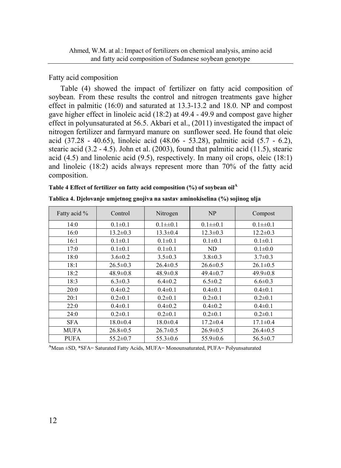## Fatty acid composition

Table (4) showed the impact of fertilizer on fatty acid composition of soybean. From these results the control and nitrogen treatments gave higher effect in palmitic (16:0) and saturated at 13.3-13.2 and 18.0. NP and compost gave higher effect in linoleic acid (18:2) at 49.4 - 49.9 and compost gave higher effect in polyunsaturated at 56.5. Akbari et al., (2011) investigated the impact of nitrogen fertilizer and farmyard manure on sunflower seed. He found that oleic acid (37.28 - 40.65), linoleic acid (48.06 - 53.28), palmitic acid (5.7 - 6.2), stearic acid (3.2 - 4.5). John et al. (2003), found that palmitic acid (11.5), stearic acid  $(4.5)$  and linolenic acid  $(9.5)$ , respectively. In many oil crops, oleic  $(18.1)$ and linoleic (18:2) acids always represent more than 70% of the fatty acid composition.

| Table 4 Effect of fertilizer on fatty acid composition $(\%)$ of soybean oil <sup>A</sup> |  |  |  |  |  |  |
|-------------------------------------------------------------------------------------------|--|--|--|--|--|--|
|-------------------------------------------------------------------------------------------|--|--|--|--|--|--|

| Fatty acid % | Control        | Nitrogen       | NP             | Compost        |
|--------------|----------------|----------------|----------------|----------------|
| 14:0         | $0.1 \pm 0.1$  | $0.1 \pm 0.1$  | $0.1 \pm 0.1$  | $0.1 \pm 0.1$  |
| 16:0         | $13.2 \pm 0.3$ | $13.3 \pm 0.4$ | $12.3 \pm 0.3$ | $12.2 \pm 0.3$ |
| 16:1         | $0.1 \pm 0.1$  | $0.1 \pm 0.1$  | $0.1 \pm 0.1$  | $0.1 \pm 0.1$  |
| 17:0         | $0.1 \pm 0.1$  | $0.1 \pm 0.1$  | ND             | $0.1 \pm 0.0$  |
| 18:0         | $3.6 \pm 0.2$  | $3.5 \pm 0.3$  | $3.8 \pm 0.3$  | $3.7 \pm 0.3$  |
| 18:1         | $26.5 \pm 0.3$ | $26.4 \pm 0.5$ | $26.6 \pm 0.5$ | $26.1 \pm 0.5$ |
| 18:2         | $48.9 \pm 0.8$ | $48.9 \pm 0.8$ | $49.4 \pm 0.7$ | $49.9 \pm 0.8$ |
| 18:3         | $6.3 \pm 0.3$  | $6.4 \pm 0.2$  | $6.5 \pm 0.2$  | $6.6 \pm 0.3$  |
| 20:0         | $0.4 \pm 0.2$  | $0.4 \pm 0.1$  | $0.4 \pm 0.1$  | $0.4 \pm 0.1$  |
| 20:1         | $0.2 \pm 0.1$  | $0.2 \pm 0.1$  | $0.2 \pm 0.1$  | $0.2 \pm 0.1$  |
| 22:0         | $0.4 \pm 0.1$  | $0.4 \pm 0.2$  | $0.4 \pm 0.2$  | $0.4 \pm 0.1$  |
| 24:0         | $0.2 \pm 0.1$  | $0.2 \pm 0.1$  | $0.2 \pm 0.1$  | $0.2 \pm 0.1$  |
| <b>SFA</b>   | $18.0 \pm 0.4$ | $18.0 \pm 0.4$ | $17.2 \pm 0.4$ | $17.1 \pm 0.4$ |
| <b>MUFA</b>  | $26.8 \pm 0.5$ | $26.7 \pm 0.5$ | $26.9 \pm 0.5$ | $26.4 \pm 0.5$ |
| <b>PUFA</b>  | $55.2 \pm 0.7$ | $55.3 \pm 0.6$ | $55.9 \pm 0.6$ | $56.5 \pm 0.7$ |

**Tablica 4. Djelovanje umjetnog gnojiva na sastav aminokiselina (%) sojinog ulja** 

**<sup>A</sup>**Mean ±SD, \*SFA= Saturated Fatty Acids, MUFA= Monounsaturated, PUFA= Polyunsaturated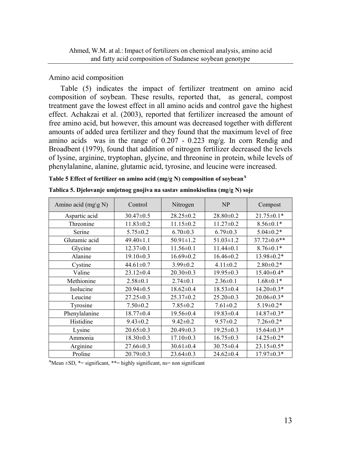### Amino acid composition

Table (5) indicates the impact of fertilizer treatment on amino acid composition of soybean. These results, reported that, as general, compost treatment gave the lowest effect in all amino acids and control gave the highest effect. Achakzai et al. (2003), reported that fertilizer increased the amount of free amino acid, but however, this amount was decreased together with different amounts of added urea fertilizer and they found that the maximum level of free amino acids was in the range of  $0.207 - 0.223$  mg/g. In corn Rendig and Broadbent (1979), found that addition of nitrogen fertilizer decreased the levels of lysine, arginine, tryptophan, glycine, and threonine in protein, while levels of phenylalanine, alanine, glutamic acid, tyrosine, and leucine were increased.

|  | Table 5 Effect of fertilizer on amino acid (mg/g N) composition of soybean <sup>A</sup> |  |  |  |  |
|--|-----------------------------------------------------------------------------------------|--|--|--|--|
|--|-----------------------------------------------------------------------------------------|--|--|--|--|

| Amino acid (mg\g N) | Control         | Nitrogen        | NP              | Compost          |
|---------------------|-----------------|-----------------|-----------------|------------------|
| Aspartic acid       | $30.47 \pm 0.5$ | $28.25 \pm 0.2$ | $28.80 \pm 0.2$ | $21.75 \pm 0.1*$ |
| Threonine           | $11.83 \pm 0.2$ | $11.15 \pm 0.2$ | $11.27 \pm 0.2$ | $8.56 \pm 0.1*$  |
| Serine              | $5.75 \pm 0.2$  | $6.70 \pm 0.3$  | $6.79 \pm 0.3$  | $5.04 \pm 0.2*$  |
| Glutamic acid       | $49.40 \pm 1.1$ | $50.91 \pm 1.2$ | $51.03 \pm 1.2$ | 37.72±0.6**      |
| Glycine             | $12.37 \pm 0.1$ | $11.56 \pm 0.1$ | $11.44 \pm 0.1$ | $8.76 \pm 0.1*$  |
| Alanine             | $19.10 \pm 0.3$ | $16.69 \pm 0.2$ | $16.46 \pm 0.2$ | 13.98±0.2*       |
| Cystine             | $44.61 \pm 0.7$ | $3.99 \pm 0.2$  | $4.11 \pm 0.2$  | $2.80 \pm 0.2*$  |
| Valine              | $23.12 \pm 0.4$ | $20.30 \pm 0.3$ | $19.95 \pm 0.3$ | $15.40\pm0.4*$   |
| Methionine          | $2.58 \pm 0.1$  | $2.74 \pm 0.1$  | $2.36 \pm 0.1$  | $1.68 \pm 0.1*$  |
| Isolucine           | $20.94 \pm 0.5$ | $18.62 \pm 0.4$ | $18.53 \pm 0.4$ | $14.20 \pm 0.3*$ |
| Leucine             | $27.25 \pm 0.3$ | $25.37 \pm 0.2$ | $25.20 \pm 0.3$ | $20.06 \pm 0.3*$ |
| Tyrosine            | $7.50 \pm 0.2$  | $7.85 \pm 0.2$  | $7.61 \pm 0.2$  | $5.19 \pm 0.2*$  |
| Phenylalanine       | $18.77 \pm 0.4$ | $19.56 \pm 0.4$ | $19.83 \pm 0.4$ | $14.87 \pm 0.3*$ |
| Histidine           | $9.43 \pm 0.2$  | $9.42 \pm 0.2$  | $9.57 \pm 0.2$  | $7.26 \pm 0.2*$  |
| Lysine              | $20.65 \pm 0.3$ | $20.49 \pm 0.3$ | $19.25 \pm 0.3$ | $15.64 \pm 0.3*$ |
| Ammonia             | $18.30 \pm 0.3$ | $17.10 \pm 0.3$ | $16.75 \pm 0.3$ | 14.25±0.2*       |
| Arginine            | $27.66 \pm 0.3$ | $30.61 \pm 0.4$ | $30.75 \pm 0.4$ | $23.15 \pm 0.5*$ |
| Proline             | $20.79 \pm 0.3$ | $23.64 \pm 0.3$ | $24.62 \pm 0.4$ | $17.97 \pm 0.3*$ |

|  |  |  | Tablica 5. Djelovanje umjetnog gnojiva na sastav aminokiselina (mg/g N) soje |  |
|--|--|--|------------------------------------------------------------------------------|--|
|--|--|--|------------------------------------------------------------------------------|--|

**<sup>A</sup>**Mean ±SD, \*= significant, \*\*= highly significant, ns= non significant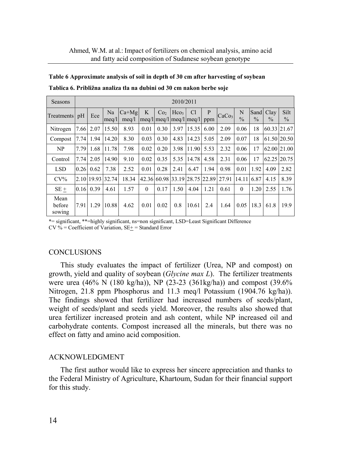| Seasons                  |      | 2010/2011      |                  |                  |          |                 |                  |                                                                                                               |          |                   |                    |                       |                       |                       |
|--------------------------|------|----------------|------------------|------------------|----------|-----------------|------------------|---------------------------------------------------------------------------------------------------------------|----------|-------------------|--------------------|-----------------------|-----------------------|-----------------------|
| Treatments pH            |      | Ece            | Na<br>meq/l      | $Ca+Mg$<br>meq/l | K        | Co <sub>2</sub> | Hco <sub>3</sub> | <sup>C</sup> l<br>$\left  \text{meq}/\text{l} \right  \text{meq}/\text{l} \left  \text{meq}/\text{l} \right $ | P<br>ppm | CaCo <sub>3</sub> | N<br>$\frac{0}{0}$ | Sand<br>$\frac{0}{0}$ | Clay<br>$\frac{0}{0}$ | Silt<br>$\frac{0}{0}$ |
| Nitrogen                 |      | 7.66 2.07      | 15.50            | 8.93             | 0.01     | 0.30            | 3.97             | 15.35                                                                                                         | 6.00     | 2.09              | 0.06               | 18                    |                       | 60.33 21.67           |
| Compost                  | 7.74 | 1.94           | 14.20            | 8.30             | 0.03     | 0.30            | 4.83             | 14.23                                                                                                         | 5.05     | 2.09              | 0.07               | 18                    |                       | 61.50 20.50           |
| NP                       | 7.79 | 1.68           | 11.78            | 7.98             | 0.02     | 0.20            | 3.98             | 11.90                                                                                                         | 5.53     | 2.32              | 0.06               | 17                    |                       | 62.00 21.00           |
| Control                  | 7.74 | 2.05           | 14.90            | 9.10             | 0.02     | 0.35            | 5.35             | 14.78                                                                                                         | 4.58     | 2.31              | 0.06               | 17                    |                       | 62.25 20.75           |
| <b>LSD</b>               | 0.26 | 0.62           | 7.38             | 2.52             | 0.01     | 0.28            | 2.41             | 6.47                                                                                                          | 1.94     | 0.98              | 0.01               | 1.92                  | 4.09                  | 2.82                  |
| $CV\%$                   |      |                | 2.10 19.93 32.74 | 18.34            |          |                 |                  | 42.36 60.98 33.19 28.75 22.89 27.91                                                                           |          |                   | 14.11              | 6.87                  | 4.15                  | 8.39                  |
| $SE +$                   |      | $0.16 \, 0.39$ | 4.61             | 1.57             | $\theta$ | 0.17            | 1.50             | 4.04                                                                                                          | 1.21     | 0.61              | $\Omega$           | 1.20                  | 2.55                  | 1.76                  |
| Mean<br>before<br>sowing | 7.91 | 1.29           | 10.88            | 4.62             | 0.01     | 0.02            | 0.8              | 10.61                                                                                                         | 2.4      | 1.64              | 0.05               | 18.3                  | 61.8                  | 19.9                  |

**Table 6 Approximate analysis of soil in depth of 30 cm after harvesting of soybean Tablica 6. Približna analiza tla na dubini od 30 cm nakon berbe soje** 

\*= significant, \*\*=highly significant, ns=non significant, LSD=Least Significant Difference  $CV % = Coefficient of Variation, SE += Standard Error$ 

#### **CONCLUSIONS**

This study evaluates the impact of fertilizer (Urea, NP and compost) on growth, yield and quality of soybean (*Glycine max L*). The fertilizer treatments were urea (46% N (180 kg/ha)), NP (23-23 (361kg/ha)) and compost (39.6% Nitrogen, 21.8 ppm Phosphorus and 11.3 meq/l Potassium (1904.76 kg/ha)). The findings showed that fertilizer had increased numbers of seeds/plant, weight of seeds/plant and seeds yield. Moreover, the results also showed that urea fertilizer increased protein and ash content, while NP increased oil and carbohydrate contents. Compost increased all the minerals, but there was no effect on fatty and amino acid composition.

#### ACKNOWLEDGMENT

The first author would like to express her sincere appreciation and thanks to the Federal Ministry of Agriculture, Khartoum, Sudan for their financial support for this study.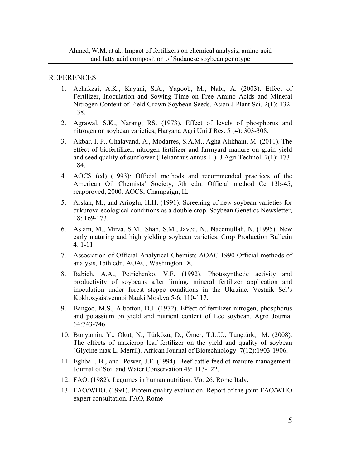#### **REFERENCES**

- 1. Achakzai, A.K., Kayani, S.A., Yagoob, M., Nabi, A. (2003). Effect of Fertilizer, Inoculation and Sowing Time on Free Amino Acids and Mineral Nitrogen Content of Field Grown Soybean Seeds. Asian J Plant Sci. 2(1): 132- 138.
- 2. Agrawal, S.K., Narang, RS. (1973). Effect of levels of phosphorus and nitrogen on soybean varieties, Haryana Agri Uni J Res. 5 (4): 303-308.
- 3. Akbar, I. P., Ghalavand, A., Modarres, S.A.M., Agha Alikhani, M. (2011). The effect of biofertilizer, nitrogen fertilizer and farmyard manure on grain yield and seed quality of sunflower (Helianthus annus L.). J Agri Technol. 7(1): 173- 184.
- 4. AOCS (ed) (1993): Official methods and recommended practices of the American Oil Chemists' Society, 5th edn. Official method Cc 13b-45, reapproved, 2000. AOCS, Champaign, IL
- 5. Arslan, M., and Arioglu, H.H. (1991). Screening of new soybean varieties for cukurova ecological conditions as a double crop. Soybean Genetics Newsletter, 18: 169-173.
- 6. Aslam, M., Mirza, S.M., Shah, S.M., Javed, N., Naeemullah, N. (1995). New early maturing and high yielding soybean varieties. Crop Production Bulletin  $4:1-11$ .
- 7. Association of Official Analytical Chemists-AOAC 1990 Official methods of analysis, 15th edn. AOAC, Washington DC
- 8. Babich, A.A., Petrichenko, V.F. (1992). Photosynthetic activity and productivity of soybeans after liming, mineral fertilizer application and inoculation under forest steppe conditions in the Ukraine. Vestnik Sel's Kokhozyaistvennoi Nauki Moskva 5-6: 110-117.
- 9. Bangoo, M.S., Albotton, D.J. (1972). Effect of fertilizer nitrogen, phosphorus and potassium on yield and nutrient content of Lee soybean. Agro Journal 64:743-746.
- 10. Bünyamin, Y., Okut, N., Türközü, D., Ömer, T.L.U., Tunçtürk, M. (2008). The effects of maxicrop leaf fertilizer on the yield and quality of soybean (Glycine max L. Merril). African Journal of Biotechnology 7(12):1903-1906.
- 11. Eghball, B., and Power, J.F. (1994). Beef cattle feedlot manure management. Journal of Soil and Water Conservation 49: 113-122.
- 12. FAO. (1982). Legumes in human nutrition. Vo. 26. Rome Italy.
- 13. FAO/WHO. (1991). Protein quality evaluation. Report of the joint FAO/WHO expert consultation. FAO, Rome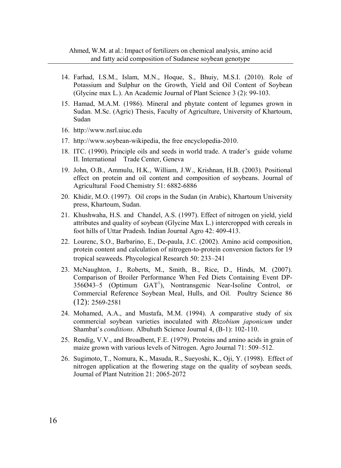- 14. Farhad, I.S.M., Islam, M.N., Hoque, S., Bhuiy, M.S.I. (2010). Role of Potassium and Sulphur on the Growth, Yield and Oil Content of Soybean (Glycine max L.). An Academic Journal of Plant Science 3 (2): 99-103.
- 15. Hamad, M.A.M. (1986). Mineral and phytate content of legumes grown in Sudan. M.Sc. (Agric) Thesis, Faculty of Agriculture, University of Khartoum, Sudan
- 16. http://www.nsrl.uiuc.edu
- 17. http://www.soybean-wikipedia, the free encyclopedia-2010.
- 18. ITC. (1990). Principle oils and seeds in world trade. A trader's guide volume II. International Trade Center, Geneva
- 19. John, O.B., Ammulu, H.K., William, J.W., Krishnan, H.B. (2003). Positional effect on protein and oil content and composition of soybeans. Journal of Agricultural Food Chemistry 51: 6882-6886
- 20. Khidir, M.O. (1997). Oil crops in the Sudan (in Arabic), Khartoum University press, Khartoum, Sudan.
- 21. Khushwaha, H.S. and Chandel, A.S. (1997). Effect of nitrogen on yield, yield attributes and quality of soybean (Glycine Max L.) intercropped with cereals in foot hills of Uttar Pradesh. Indian Journal Agro 42: 409-413.
- 22. Lourenc, S.O., Barbarino, E., De-paula, J.C. (2002). Amino acid composition, protein content and calculation of nitrogen-to-protein conversion factors for 19 tropical seaweeds. Phycological Research 50: 233–241
- 23. McNaughton, J., Roberts, M., Smith, B., Rice, D., Hinds, M. (2007). Comparison of Broiler Performance When Fed Diets Containing Event DP-356Ø43-5 (Optimum GAT<sup>1</sup>), Nontransgenic Near-Isoline Control, or Commercial Reference Soybean Meal, Hulls, and Oil. Poultry Science 86 (12): 2569-2581
- 24. Mohamed, A.A., and Mustafa, M.M. (1994). A comparative study of six commercial soybean varieties inoculated with *Rhzobium japonicum* under Shambat's *conditions*. Albuhuth Science Journal 4, (B-1): 102-110.
- 25. Rendig, V.V., and Broadbent, F.E. (1979). Proteins and amino acids in grain of maize grown with various levels of Nitrogen. Agro Journal 71: 509–512.
- 26. Sugimoto, T., Nomura, K., Masuda, R., Sueyoshi, K., Oji, Y. (1998). Effect of nitrogen application at the flowering stage on the quality of soybean seeds*,* Journal of Plant Nutrition 21: 2065-2072